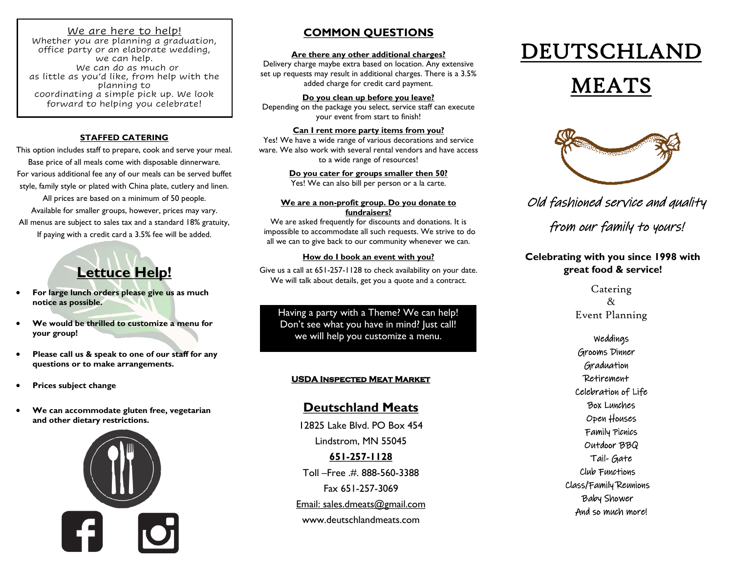### l We are here to help!

Whether you are planning a graduation, office party or an elaborate wedding, we can help. We can do as much or as little as you'd like, from help with the planning to coordinating a simple pick up. We look forward to helping you celebrate!

#### **STAFFED CATERING**

This option includes staff to prepare, cook and serve your meal. Base price of all meals come with disposable dinnerware. For various additional fee any of our meals can be served buffet style, family style or plated with China plate, cutlery and linen. All prices are based on a minimum of 50 people. Available for smaller groups, however, prices may vary.

All menus are subject to sales tax and a standard 18% gratuity, If paying with a credit card a 3.5% fee will be added.

# **Lettuce Help!**

- **For large lunch orders please give us as much notice as possible.**
- **We would be thrilled to customize a menu for your group!**
- **Please call us & speak to one of our staff for any questions or to make arrangements.**
- **Prices subject change**
- **We can accommodate gluten free, vegetarian and other dietary restrictions.**



# **COMMON QUESTIONS**

#### **Are there any other additional charges?**

Delivery charge maybe extra based on location. Any extensive set up requests may result in additional charges. There is a 3.5% added charge for credit card payment.

**Do you clean up before you leave?** Depending on the package you select, service staff can execute your event from start to finish!

#### **Can I rent more party items from you?**

Yes! We have a wide range of various decorations and service ware. We also work with several rental vendors and have access to a wide range of resources!

> **Do you cater for groups smaller then 50?** Yes! We can also bill per person or a la carte.

#### **We are a non-profit group. Do you donate to fundraisers?**

We are asked frequently for discounts and donations. It is impossible to accommodate all such requests. We strive to do all we can to give back to our community whenever we can.

### **How do I book an event with you?**

Give us a call at 651-257-1128 to check availability on your date. We will talk about details, get you a quote and a contract.

Having a party with a Theme? We can help! Don't see what you have in mind? Just call! we will help you customize a menu.

# **USDA Inspected Meat Market**

# **Deutschland Meats**

12825 Lake Blvd. PO Box 454 Lindstrom, MN 55045 **651-257-1128**  Toll –Free .#. 888-560-3388 Fax 651-257-3069 Email: sales.dmeats@gmail.com www.deutschlandmeats.com

# DEUTSCHLAND

# MEATS



Old fashioned service and quality

from our family to yours!

## **Celebrating with you since 1998 with great food & service!**

Catering & Event Planning

Weddings Grooms Dinner Graduation Retirement Celebration of Life Box Lunches Open Houses Family Picnics Outdoor BBQ Tail- Gate Club Functions Class/Family Reunions Baby Shower And so much more!